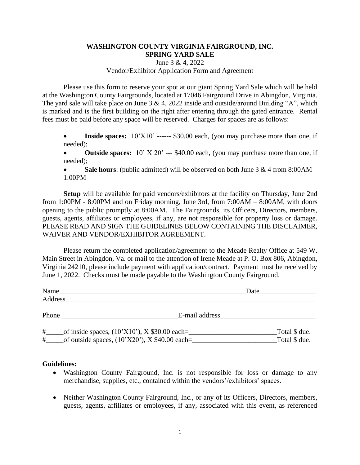## **WASHINGTON COUNTY VIRGINIA FAIRGROUND, INC. SPRING YARD SALE**

June 3 & 4, 2022

Vendor/Exhibitor Application Form and Agreement

Please use this form to reserve your spot at our giant Spring Yard Sale which will be held at the Washington County Fairgrounds, located at 17046 Fairground Drive in Abingdon, Virginia. The yard sale will take place on June  $3 \& 4$ , 2022 inside and outside/around Building "A", which is marked and is the first building on the right after entering through the gated entrance. Rental fees must be paid before any space will be reserved. Charges for spaces are as follows:

- **Inside spaces:**  $10'X10'$  ------ \$30.00 each, (you may purchase more than one, if needed);
- **Outside spaces:** 10' X 20' --- \$40.00 each, (you may purchase more than one, if needed);
- **Sale hours**: (public admitted) will be observed on both June  $3 \& 4$  from  $8:00AM -$ 1:00PM

**Setup** will be available for paid vendors/exhibitors at the facility on Thursday, June 2nd from 1:00PM - 8:00PM and on Friday morning, June 3rd, from 7:00AM – 8:00AM, with doors opening to the public promptly at 8:00AM. The Fairgrounds, its Officers, Directors, members, guests, agents, affiliates or employees, if any, are not responsible for property loss or damage. PLEASE READ AND SIGN THE GUIDELINES BELOW CONTAINING THE DISCLAIMER, WAIVER AND VENDOR/EXHIBITOR AGREEMENT.

Please return the completed application/agreement to the Meade Realty Office at 549 W. Main Street in Abingdon, Va. or mail to the attention of Irene Meade at P. O. Box 806, Abingdon, Virginia 24210, please include payment with application/contract. Payment must be received by June 1, 2022. Checks must be made payable to the Washington County Fairground.

| Name                                                                                                          |                                                                                                                                                                                                                                | Date                           |  |
|---------------------------------------------------------------------------------------------------------------|--------------------------------------------------------------------------------------------------------------------------------------------------------------------------------------------------------------------------------|--------------------------------|--|
| Address                                                                                                       |                                                                                                                                                                                                                                |                                |  |
|                                                                                                               |                                                                                                                                                                                                                                |                                |  |
| Phone                                                                                                         | E-mail address expansion of the same state of the state of the state of the state of the state of the state of the state of the state of the state of the state of the state of the state of the state of the state of the sta |                                |  |
| of inside spaces, $(10'X10')$ , X \$30.00 each=<br>#<br>of outside spaces, $(10'X20')$ , X \$40.00 each=<br># |                                                                                                                                                                                                                                | Total \$ due.<br>Total \$ due. |  |

## **Guidelines:**

- Washington County Fairground, Inc. is not responsible for loss or damage to any merchandise, supplies, etc., contained within the vendors'/exhibitors' spaces.
- Neither Washington County Fairground, Inc., or any of its Officers, Directors, members, guests, agents, affiliates or employees, if any, associated with this event, as referenced